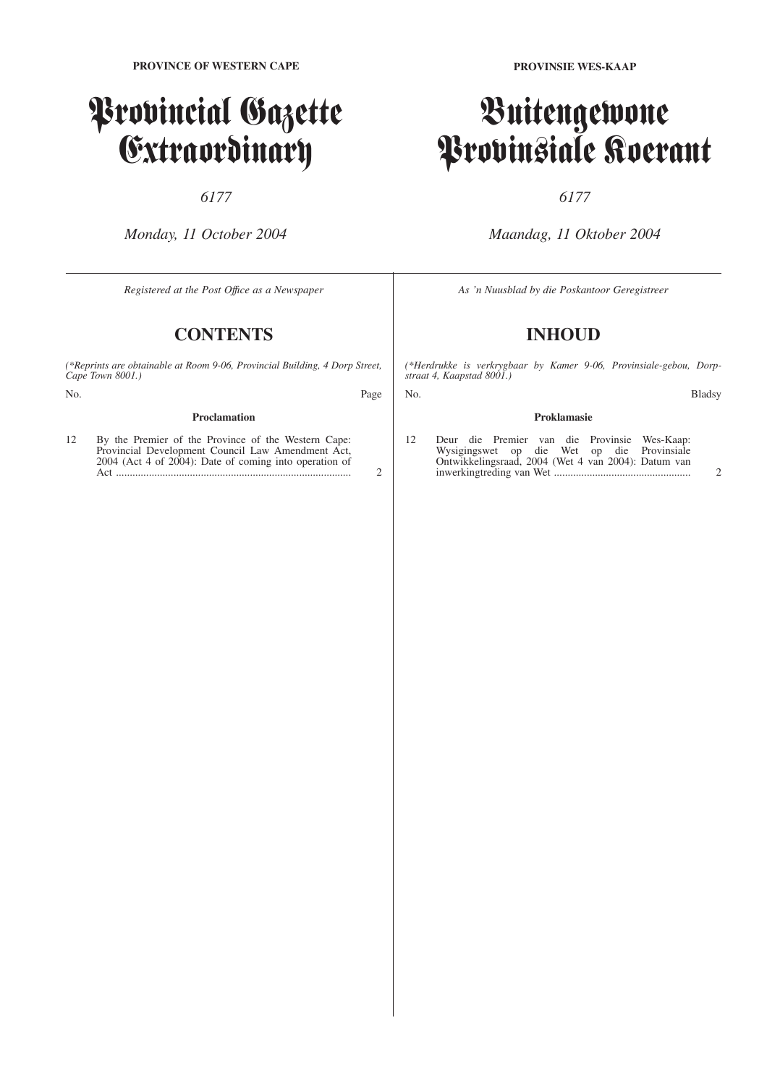# Provincial Gazette Extraordinary

### *6177*

*Monday, 11 October 2004*

*Registered at the Post Offıce as a Newspaper*

## **CONTENTS**

*(\*Reprints are obtainable at Room 9-06, Provincial Building, 4 Dorp Street, Cape Town 8001.)*

No. Page

#### **Proclamation**

12 By the Premier of the Province of the Western Cape: Provincial Development Council Law Amendment Act, 2004 (Act 4 of 2004): Date of coming into operation of Act ...................................................................................... 2 **PROVINSIE WES-KAAP**

# Buitengewone Provinsiale Koerant

### *6177*

*Maandag, 11 Oktober 2004*

*As 'n Nuusblad by die Poskantoor Geregistreer*

## **INHOUD**

*(\*Herdrukke is verkrygbaar by Kamer 9-06, Provinsiale-gebou, Dorpstraat 4, Kaapstad 8001.)*

#### **Proklamasie**

12 Deur die Premier van die Provinsie Wes-Kaap: Wysigingswet op die Wet op die Provinsiale Ontwikkelingsraad, 2004 (Wet 4 van 2004): Datum van inwerkingtreding van Wet .................................................. 2